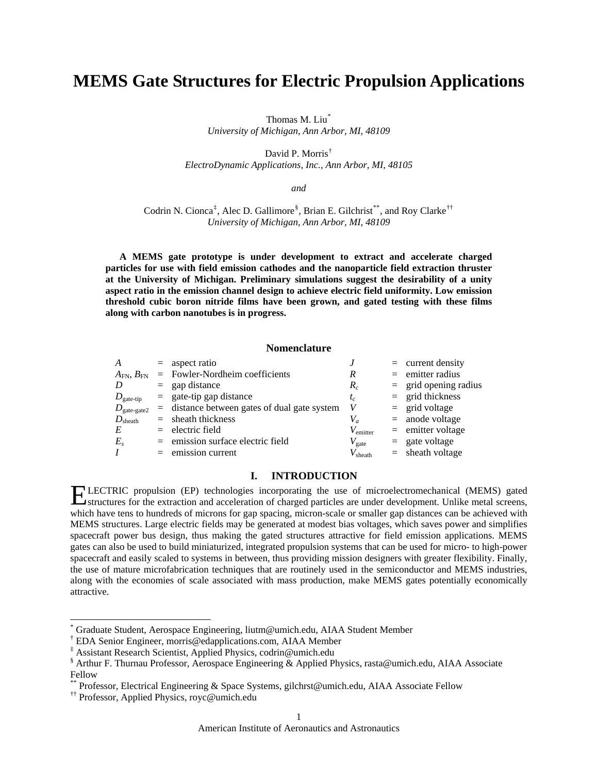# **MEMS Gate Structures for Electric Propulsion Applications**

Thomas M. Liu[\\*](#page-0-0) *University of Michigan, Ann Arbor, MI, 48109* 

David P. Morris[†](#page-0-1)

*ElectroDynamic Applications, Inc., Ann Arbor, MI, 48105* 

*and* 

Codrin N. Cionca<sup>[‡](#page-0-2)</sup>, Alec D. Gallimore<sup>[§](#page-0-3)</sup>, Brian E. Gilchrist<sup>[\\*\\*](#page-0-4)</sup>, and Roy Clarke<sup>[††](#page-0-5)</sup> *University of Michigan, Ann Arbor, MI, 48109* 

**A MEMS gate prototype is under development to extract and accelerate charged particles for use with field emission cathodes and the nanoparticle field extraction thruster at the University of Michigan. Preliminary simulations suggest the desirability of a unity aspect ratio in the emission channel design to achieve electric field uniformity. Low emission threshold cubic boron nitride films have been grown, and gated testing with these films along with carbon nanotubes is in progress.** 

## **Nomenclature**

| A                                   | $=$ aspect ratio                               |                   | $=$ current density     |
|-------------------------------------|------------------------------------------------|-------------------|-------------------------|
| $A_{\mathrm{FN}},\,B_{\mathrm{FN}}$ | $=$ Fowler-Nordheim coefficients               | R                 | $=$ emitter radius      |
| D                                   | $=$ gap distance                               | $R_c$             | $=$ grid opening radius |
| $D_{\text{gate-tip}}$               | $=$ gate-tip gap distance                      | $t_c$             | $=$ grid thickness      |
| $D_{\rm gate\text{-}gate2}$         | $=$ distance between gates of dual gate system | V                 | $=$ grid voltage        |
| $D_{\rm sheath}$                    | $=$ sheath thickness                           | $V_a$             | $=$ anode voltage       |
| E                                   | $=$ electric field                             | $V_{\rm emitter}$ | $=$ emitter voltage     |
| $E_{s}$                             | $=$ emission surface electric field            | $V_{\rm gate}$    | $=$ gate voltage        |
| $\boldsymbol{I}$                    | $=$ emission current                           | $V_{\rm sheath}$  | $=$ sheath voltage      |

## **I. INTRODUCTION**

LE st which have tens to hundreds of microns for gap spacing, micron-scale or smaller gap distances can be achieved with CTRIC propulsion (EP) technologies incorporating the use of microelectromechanical (MEMS) gated ELECTRIC propulsion (EP) technologies incorporating the use of microelectromechanical (MEMS) gated structures for the extraction and acceleration of charged particles are under development. Unlike metal screens, MEMS structures. Large electric fields may be generated at modest bias voltages, which saves power and simplifies spacecraft power bus design, thus making the gated structures attractive for field emission applications. MEMS gates can also be used to build miniaturized, integrated propulsion systems that can be used for micro- to high-power spacecraft and easily scaled to systems in between, thus providing mission designers with greater flexibility. Finally, the use of mature microfabrication techniques that are routinely used in the semiconductor and MEMS industries, along with the economies of scale associated with mass production, make MEMS gates potentially economically attractive.

 $\overline{a}$ 

<span id="page-0-0"></span><sup>\*</sup> Graduate Student, Aerospace Engineering, liutm@umich.edu, AIAA Student Member

<span id="page-0-1"></span><sup>†</sup> EDA Senior Engineer, morris@edapplications.com, AIAA Member

<sup>‡</sup> Assistant Research Scientist, Applied Physics, codrin@umich.edu

<span id="page-0-3"></span><span id="page-0-2"></span><sup>§</sup> Arthur F. Thurnau Professor, Aerospace Engineering & Applied Physics, rasta@umich.edu, AIAA Associate Fellow

<span id="page-0-4"></span>Professor, Electrical Engineering & Space Systems, gilchrst@umich.edu, AIAA Associate Fellow

<span id="page-0-5"></span><sup>††</sup> Professor, Applied Physics, royc@umich.edu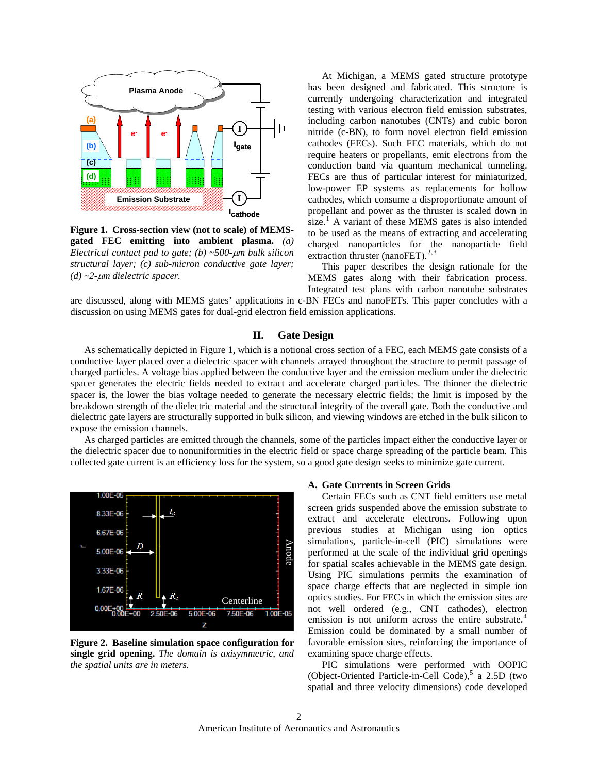

**Figure 1. Cross-section view (not to scale) of MEMSgated FEC emitting into ambient plasma.** *(a) Electrical contact pad to gate; (b) ~500-*μ*m bulk silicon structural layer; (c) sub-micron conductive gate layer; (d) ~2-*μ*m dielectric spacer.*

At Michigan, a MEMS gated structure prototype has been designed and fabricated. This structure is currently undergoing characterization and integrated testing with various electron field emission substrates, including carbon nanotubes (CNTs) and cubic boron nitride (c-BN), to form novel electron field emission cathodes (FECs). Such FEC materials, which do not require heaters or propellants, emit electrons from the conduction band via quantum mechanical tunneling. FECs are thus of particular interest for miniaturized, low-power EP systems as replacements for hollow cathodes, which consume a disproportionate amount of propellant and power as the thruster is scaled down in size.<sup>[1](#page-10-0)</sup> A variant of these MEMS gates is also intended to be used as the means of extracting and accelerating charged nanoparticles for the nanoparticle field extraction thruster (nanoFET). $2,3$  $2,3$  $2,3$ 

This paper describes the design rationale for the MEMS gates along with their fabrication process. Integrated test plans with carbon nanotube substrates

are discussed, along with MEMS gates' applications in c-BN FECs and nanoFETs. This paper concludes with a discussion on using MEMS gates for dual-grid electron field emission applications.

## **II. Gate Design**

As schematically depicted in Figure 1, which is a notional cross section of a FEC, each MEMS gate consists of a conductive layer placed over a dielectric spacer with channels arrayed throughout the structure to permit passage of charged particles. A voltage bias applied between the conductive layer and the emission medium under the dielectric spacer generates the electric fields needed to extract and accelerate charged particles. The thinner the dielectric spacer is, the lower the bias voltage needed to generate the necessary electric fields; the limit is imposed by the breakdown strength of the dielectric material and the structural integrity of the overall gate. Both the conductive and dielectric gate layers are structurally supported in bulk silicon, and viewing windows are etched in the bulk silicon to expose the emission channels.

As charged particles are emitted through the channels, some of the particles impact either the conductive layer or the dielectric spacer due to nonuniformities in the electric field or space charge spreading of the particle beam. This collected gate current is an efficiency loss for the system, so a good gate design seeks to minimize gate current.



**Figure 2. Baseline simulation space configuration for single grid opening.** *The domain is axisymmetric, and the spatial units are in meters.*

## **A. Gate Currents in Screen Grids**

 Certain FECs such as CNT field emitters use metal screen grids suspended above the emission substrate to extract and accelerate electrons. Following upon previous studies at Michigan using ion optics simulations, particle-in-cell (PIC) simulations were performed at the scale of the individual grid openings for spatial scales achievable in the MEMS gate design. Using PIC simulations permits the examination of space charge effects that are neglected in simple ion optics studies. For FECs in which the emission sites are not well ordered (e.g., CNT cathodes), electron emission is not uniform across the entire substrate.<sup>[4](#page-10-1)</sup> Emission could be dominated by a small number of favorable emission sites, reinforcing the importance of examining space charge effects.

 PIC simulations were performed with OOPIC (Object-Oriented Particle-in-Cell Code),<sup>[5](#page-10-1)</sup> a 2.5D (two spatial and three velocity dimensions) code developed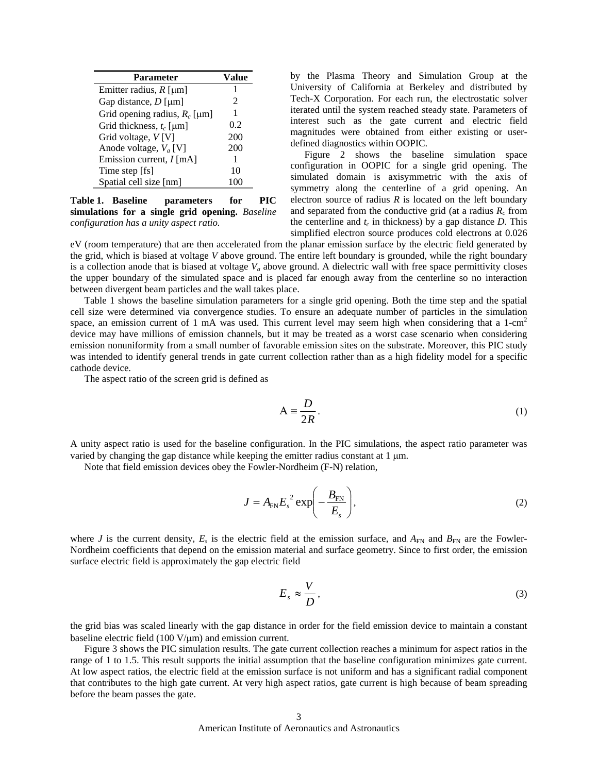| Parameter                       | Value          |
|---------------------------------|----------------|
| Emitter radius, $R$ [µm]        |                |
| Gap distance, $D$ [ $\mu$ m]    | $\mathfrak{D}$ |
| Grid opening radius, $R_c$ [µm] | 1              |
| Grid thickness, $t_c$ [µm]      | 0.2            |
| Grid voltage, $V[V]$            | 200            |
| Anode voltage, $V_a$ [V]        | 200            |
| Emission current, $I$ [mA]      |                |
| Time step [fs]                  | 10             |
| Spatial cell size [nm]          |                |

**Table 1. Baseline parameters for PIC simulations for a single grid opening.** *Baseline configuration has a unity aspect ratio.*

by the Plasma Theory and Simulation Group at the University of California at Berkeley and distributed by Tech-X Corporation. For each run, the electrostatic solver iterated until the system reached steady state. Parameters of interest such as the gate current and electric field magnitudes were obtained from either existing or userdefined diagnostics within OOPIC.

 Figure 2 shows the baseline simulation space configuration in OOPIC for a single grid opening. The simulated domain is axisymmetric with the axis of symmetry along the centerline of a grid opening. An electron source of radius  $R$  is located on the left boundary and separated from the conductive grid (at a radius  $R_c$  from the centerline and  $t_c$  in thickness) by a gap distance  $D$ . This simplified electron source produces cold electrons at 0.026

eV (room temperature) that are then accelerated from the planar emission surface by the electric field generated by the grid, which is biased at voltage *V* above ground. The entire left boundary is grounded, while the right boundary is a collection anode that is biased at voltage  $V_a$  above ground. A dielectric wall with free space permittivity closes the upper boundary of the simulated space and is placed far enough away from the centerline so no interaction between divergent beam particles and the wall takes place.

 Table 1 shows the baseline simulation parameters for a single grid opening. Both the time step and the spatial cell size were determined via convergence studies. To ensure an adequate number of particles in the simulation space, an emission current of 1 mA was used. This current level may seem high when considering that a  $1$ -cm<sup>2</sup> device may have millions of emission channels, but it may be treated as a worst case scenario when considering emission nonuniformity from a small number of favorable emission sites on the substrate. Moreover, this PIC study was intended to identify general trends in gate current collection rather than as a high fidelity model for a specific cathode device.

The aspect ratio of the screen grid is defined as

$$
A \equiv \frac{D}{2R} \,. \tag{1}
$$

A unity aspect ratio is used for the baseline configuration. In the PIC simulations, the aspect ratio parameter was varied by changing the gap distance while keeping the emitter radius constant at  $1 \mu m$ .

Note that field emission devices obey the Fowler-Nordheim (F-N) relation,

$$
J = A_{\text{FN}} E_s^2 \exp\left(-\frac{B_{\text{FN}}}{E_s}\right),\tag{2}
$$

where *J* is the current density,  $E_s$  is the electric field at the emission surface, and  $A_{FN}$  and  $B_{FN}$  are the Fowler-Nordheim coefficients that depend on the emission material and surface geometry. Since to first order, the emission surface electric field is approximately the gap electric field

$$
E_s \approx \frac{V}{D},\tag{3}
$$

the grid bias was scaled linearly with the gap distance in order for the field emission device to maintain a constant baseline electric field (100 V/μm) and emission current.

 Figure 3 shows the PIC simulation results. The gate current collection reaches a minimum for aspect ratios in the range of 1 to 1.5. This result supports the initial assumption that the baseline configuration minimizes gate current. At low aspect ratios, the electric field at the emission surface is not uniform and has a significant radial component that contributes to the high gate current. At very high aspect ratios, gate current is high because of beam spreading before the beam passes the gate.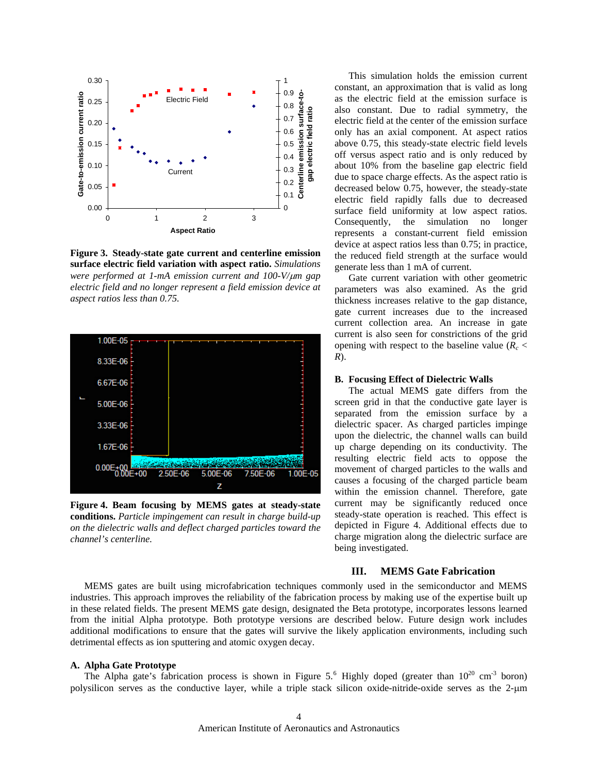

**Figure 3. Steady-state gate current and centerline emission surface electric field variation with aspect ratio.** *Simulations were performed at 1-mA emission current and 100-V/*μ*m gap electric field and no longer represent a field emission device at aspect ratios less than 0.75.*



**Figure 4. Beam focusing by MEMS gates at steady-state conditions.** *Particle impingement can result in charge build-up on the dielectric walls and deflect charged particles toward the channel's centerline.*

 This simulation holds the emission current constant, an approximation that is valid as long as the electric field at the emission surface is also constant. Due to radial symmetry, the electric field at the center of the emission surface only has an axial component. At aspect ratios above 0.75, this steady-state electric field levels off versus aspect ratio and is only reduced by about 10% from the baseline gap electric field due to space charge effects. As the aspect ratio is decreased below 0.75, however, the steady-state electric field rapidly falls due to decreased surface field uniformity at low aspect ratios. Consequently, the simulation no longer represents a constant-current field emission device at aspect ratios less than 0.75; in practice, the reduced field strength at the surface would generate less than 1 mA of current.

 Gate current variation with other geometric parameters was also examined. As the grid thickness increases relative to the gap distance, gate current increases due to the increased current collection area. An increase in gate current is also seen for constrictions of the grid opening with respect to the baseline value  $(R_c <$ *R*).

## **B. Focusing Effect of Dielectric Walls**

 The actual MEMS gate differs from the screen grid in that the conductive gate layer is separated from the emission surface by a dielectric spacer. As charged particles impinge upon the dielectric, the channel walls can build up charge depending on its conductivity. The resulting electric field acts to oppose the movement of charged particles to the walls and causes a focusing of the charged particle beam within the emission channel. Therefore, gate current may be significantly reduced once steady-state operation is reached. This effect is depicted in Figure 4. Additional effects due to charge migration along the dielectric surface are being investigated.

#### **III. MEMS Gate Fabrication**

 MEMS gates are built using microfabrication techniques commonly used in the semiconductor and MEMS industries. This approach improves the reliability of the fabrication process by making use of the expertise built up in these related fields. The present MEMS gate design, designated the Beta prototype, incorporates lessons learned from the initial Alpha prototype. Both prototype versions are described below. Future design work includes additional modifications to ensure that the gates will survive the likely application environments, including such detrimental effects as ion sputtering and atomic oxygen decay.

## **A. Alpha Gate Prototype**

The Alpha gate's fabrication process is shown in Figure 5.<sup>[6](#page-10-1)</sup> Highly doped (greater than  $10^{20}$  cm<sup>-3</sup> boron) polysilicon serves as the conductive layer, while a triple stack silicon oxide-nitride-oxide serves as the 2-μm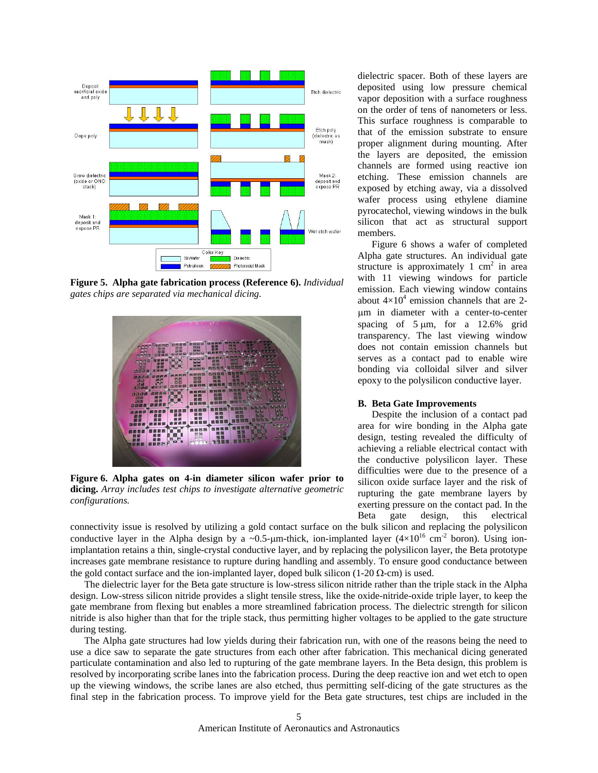

**Figure 5. Alpha gate fabrication process (Reference 6).** *Individual gates chips are separated via mechanical dicing.*



**Figure 6. Alpha gates on 4-in diameter silicon wafer prior to dicing.** *Array includes test chips to investigate alternative geometric configurations.*

dielectric spacer. Both of these layers are deposited using low pressure chemical vapor deposition with a surface roughness on the order of tens of nanometers or less. This surface roughness is comparable to that of the emission substrate to ensure proper alignment during mounting. After the layers are deposited, the emission channels are formed using reactive ion etching. These emission channels are exposed by etching away, via a dissolved wafer process using ethylene diamine pyrocatechol, viewing windows in the bulk silicon that act as structural support members.

 Figure 6 shows a wafer of completed Alpha gate structures. An individual gate structure is approximately  $1 \text{ cm}^2$  in area with 11 viewing windows for particle emission. Each viewing window contains about  $4\times10^4$  emission channels that are 2μm in diameter with a center-to-center spacing of  $5 \mu m$ , for a 12.6% grid transparency. The last viewing window does not contain emission channels but serves as a contact pad to enable wire bonding via colloidal silver and silver epoxy to the polysilicon conductive layer.

## **B. Beta Gate Improvements**

Despite the inclusion of a contact pad area for wire bonding in the Alpha gate design, testing revealed the difficulty of achieving a reliable electrical contact with the conductive polysilicon layer. These difficulties were due to the presence of a silicon oxide surface layer and the risk of rupturing the gate membrane layers by exerting pressure on the contact pad. In the Beta gate design, this electrical

connectivity issue is resolved by utilizing a gold contact surface on the bulk silicon and replacing the polysilicon conductive layer in the Alpha design by a ~0.5-µm-thick, ion-implanted layer  $(4\times10^{16} \text{ cm}^{-2}$  boron). Using ionimplantation retains a thin, single-crystal conductive layer, and by replacing the polysilicon layer, the Beta prototype increases gate membrane resistance to rupture during handling and assembly. To ensure good conductance between the gold contact surface and the ion-implanted layer, doped bulk silicon (1-20  $\Omega$ -cm) is used.

The dielectric layer for the Beta gate structure is low-stress silicon nitride rather than the triple stack in the Alpha design. Low-stress silicon nitride provides a slight tensile stress, like the oxide-nitride-oxide triple layer, to keep the gate membrane from flexing but enables a more streamlined fabrication process. The dielectric strength for silicon nitride is also higher than that for the triple stack, thus permitting higher voltages to be applied to the gate structure during testing.

The Alpha gate structures had low yields during their fabrication run, with one of the reasons being the need to use a dice saw to separate the gate structures from each other after fabrication. This mechanical dicing generated particulate contamination and also led to rupturing of the gate membrane layers. In the Beta design, this problem is resolved by incorporating scribe lanes into the fabrication process. During the deep reactive ion and wet etch to open up the viewing windows, the scribe lanes are also etched, thus permitting self-dicing of the gate structures as the final step in the fabrication process. To improve yield for the Beta gate structures, test chips are included in the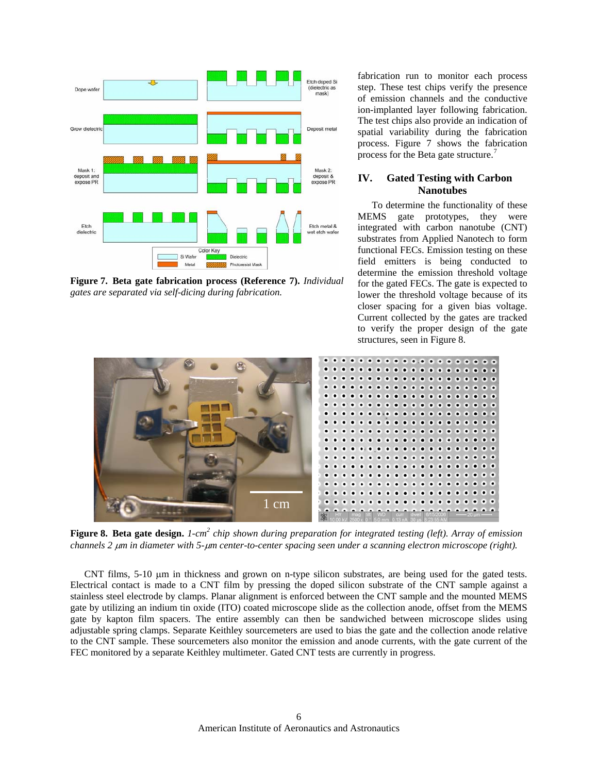

**Figure 7. Beta gate fabrication process (Reference 7).** *Individual gates are separated via self-dicing during fabrication.*

fabrication run to monitor each process step. These test chips verify the presence of emission channels and the conductive ion-implanted layer following fabrication. The test chips also provide an indication of spatial variability during the fabrication process. Figure 7 shows the fabrication process for the Beta gate structure.<sup>[7](#page-10-1)</sup>

## **IV. Gated Testing with Carbon Nanotubes**

To determine the functionality of these MEMS gate prototypes, they were integrated with carbon nanotube (CNT) substrates from Applied Nanotech to form functional FECs. Emission testing on these field emitters is being conducted to determine the emission threshold voltage for the gated FECs. The gate is expected to lower the threshold voltage because of its closer spacing for a given bias voltage. Current collected by the gates are tracked to verify the proper design of the gate structures, seen in Figure 8.



**Figure 8. Beta gate design.** *1-cm<sup>2</sup> chip shown during preparation for integrated testing (left). Array of emission channels 2* μ*m in diameter with 5-*μ*m center-to-center spacing seen under a scanning electron microscope (right).*

 CNT films, 5-10 μm in thickness and grown on n-type silicon substrates, are being used for the gated tests. Electrical contact is made to a CNT film by pressing the doped silicon substrate of the CNT sample against a stainless steel electrode by clamps. Planar alignment is enforced between the CNT sample and the mounted MEMS gate by utilizing an indium tin oxide (ITO) coated microscope slide as the collection anode, offset from the MEMS gate by kapton film spacers. The entire assembly can then be sandwiched between microscope slides using adjustable spring clamps. Separate Keithley sourcemeters are used to bias the gate and the collection anode relative to the CNT sample. These sourcemeters also monitor the emission and anode currents, with the gate current of the FEC monitored by a separate Keithley multimeter. Gated CNT tests are currently in progress.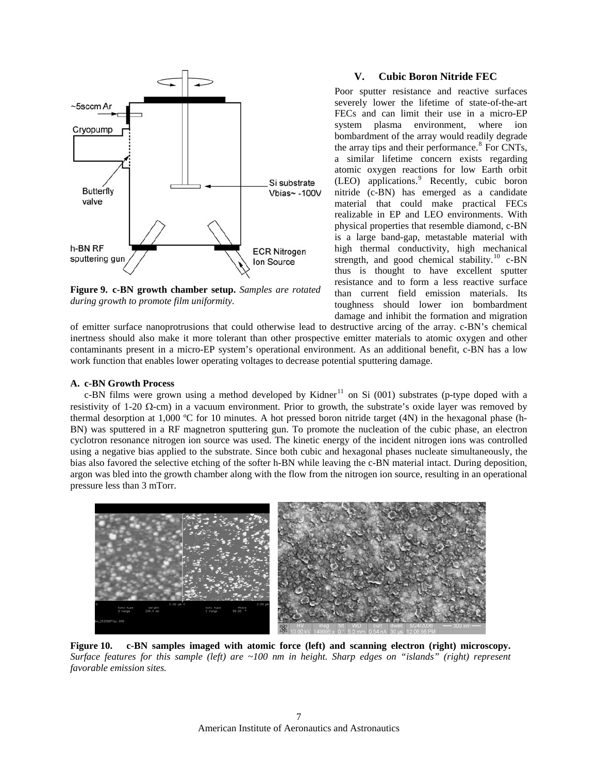

**Figure 9. c-BN growth chamber setup.** *Samples are rotated during growth to promote film uniformity.*

## **V. Cubic Boron Nitride FEC**

Poor sputter resistance and reactive surfaces severely lower the lifetime of state-of-the-art FECs and can limit their use in a micro-EP system plasma environment, where ion bombardment of the array would readily degrade the array tips and their performance.<sup>[8](#page-10-1)</sup> For CNTs, a similar lifetime concern exists regarding atomic oxygen reactions for low Earth orbit (LEO) applications.<sup>[9](#page-10-1)</sup> Recently, cubic boron nitride (c-BN) has emerged as a candidate material that could make practical FECs realizable in EP and LEO environments. With physical properties that resemble diamond, c-BN is a large band-gap, metastable material with high thermal conductivity, high mechanical strength, and good chemical stability.<sup>[10](#page-10-1)</sup> c-BN thus is thought to have excellent sputter resistance and to form a less reactive surface than current field emission materials. Its toughness should lower ion bombardment damage and inhibit the formation and migration

of emitter surface nanoprotrusions that could otherwise lead to destructive arcing of the array. c-BN's chemical inertness should also make it more tolerant than other prospective emitter materials to atomic oxygen and other contaminants present in a micro-EP system's operational environment. As an additional benefit, c-BN has a low work function that enables lower operating voltages to decrease potential sputtering damage.

**[11](#page-10-1) c-BN Growth Process 11** c-BN films were grown using a method developed by Kidner<sup>11</sup> on Si (001) substrates (p-type doped with a c-BN films were grown using a method developed by Kidner<sup>11</sup> on Si (001) substrates (presistivity of 1-20 Ω-cm) in a vacuum environment. Prior to growth, the substrate's oxide layer was removed by thermal desorption at 1,000 ºC for 10 minutes. A hot pressed boron nitride target (4N) in the hexagonal phase (h-BN) was sputtered in a RF magnetron sputtering gun. To promote the nucleation of the cubic phase, an electron cyclotron resonance nitrogen ion source was used. The kinetic energy of the incident nitrogen ions was controlled using a negative bias applied to the substrate. Since both cubic and hexagonal phases nucleate simultaneously, the bias also favored the selective etching of the softer h-BN while leaving the c-BN material intact. During deposition, argon was bled into the growth chamber along with the flow from the nitrogen ion source, resulting in an operational pressure less than 3 mTorr.



**Figure 10. c-BN samples imaged with atomic force (left) and scanning electron (right) microscopy.**  *Surface features for this sample (left) are ~100 nm in height. Sharp edges on "islands" (right) represent favorable emission sites.*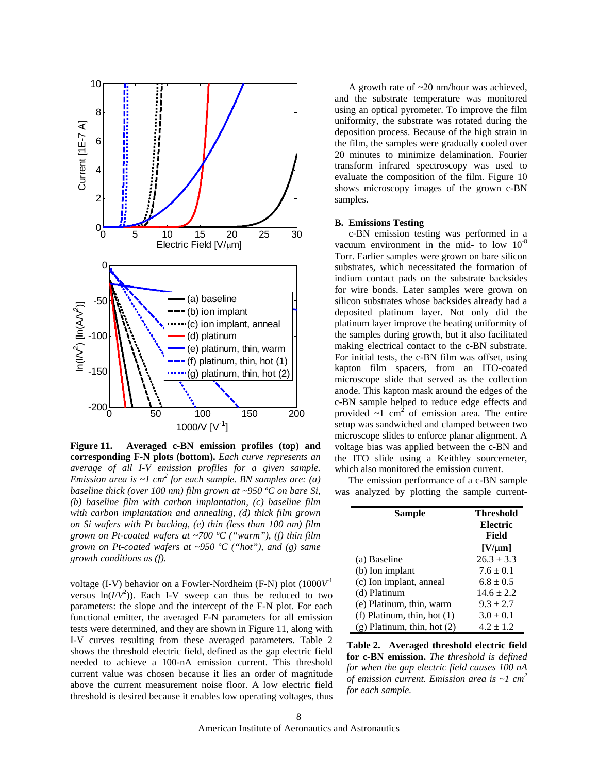

**Figure 11. Averaged c-BN emission profiles (top) and corresponding F-N plots (bottom).** *Each curve represents an average of all I-V emission profiles for a given sample. Emission area is*  $\sim$ *l* cm<sup>2</sup> for each sample. BN samples are: (a) *baseline thick (over 100 nm) film grown at ~950 ºC on bare Si, (b) baseline film with carbon implantation, (c) baseline film with carbon implantation and annealing, (d) thick film grown on Si wafers with Pt backing, (e) thin (less than 100 nm) film grown on Pt-coated wafers at ~700 ºC ("warm"), (f) thin film grown on Pt-coated wafers at ~950 ºC ("hot"), and (g) same growth conditions as (f).*

voltage (I-V) behavior on a Fowler-Nordheim (F-N) plot (1000*V* versus  $\ln(I/V^2)$ ). Each I-V sweep can thus be reduced to two (d) Platinum 14.6 ± 2.2 parameters: the slope and the intercept of the F-N plot. For each functional emitter, the averaged F-N parameters for all emission tests were determined, and they are shown in Figure 11, along with I-V curves resulting from these averaged parameters. Table 2 shows the threshold electric field, defined as the gap electric field needed to achieve a 100-nA emission current. This threshold current value was chosen because it lies an order of magnitude above the current measurement noise floor. A low electric field threshold is desired because it enables low operating voltages, thus

A growth rate of ~20 nm/hour was achieved, and the substrate temperature was monitored using an optical pyrometer. To improve the film uniformity, the substrate was rotated during the deposition process. Because of the high strain in the film, the samples were gradually cooled over 20 minutes to minimize delamination. Fourier transform infrared spectroscopy was used to evaluate the composition of the film. Figure 10 shows microscopy images of the grown c-BN samples.

### **B. Emissions Testing**

 c-BN emission testing was performed in a vacuum environment in the mid- to low  $10^{-8}$ Torr. Earlier samples were grown on bare silicon substrates, which necessitated the formation of indium contact pads on the substrate backsides for wire bonds. Later samples were grown on silicon substrates whose backsides already had a deposited platinum layer. Not only did the platinum layer improve the heating uniformity of the samples during growth, but it also facilitated making electrical contact to the c-BN substrate. For initial tests, the c-BN film was offset, using kapton film spacers, from an ITO-coated microscope slide that served as the collection anode. This kapton mask around the edges of the c-BN sample helped to reduce edge effects and provided  $\sim 1$  cm<sup>2</sup> of emission area. The entire setup was sandwiched and clamped between two microscope slides to enforce planar alignment. A voltage bias was applied between the c-BN and the ITO slide using a Keithley sourcemeter, which also monitored the emission current.

 The emission performance of a c-BN sample was analyzed by plotting the sample current-

|     | Sample                          | <b>Threshold</b><br><b>Electric</b><br>Field |
|-----|---------------------------------|----------------------------------------------|
|     |                                 | $[V/\mu m]$                                  |
|     | (a) Baseline                    | $26.3 \pm 3.3$                               |
|     | (b) Ion implant                 | $7.6 \pm 0.1$                                |
| - 1 | (c) Ion implant, anneal         | $6.8 \pm 0.5$                                |
| O   | (d) Platinum                    | $14.6 \pm 2.2$                               |
| h   | (e) Platinum, thin, warm        | $9.3 \pm 2.7$                                |
| n   | (f) Platinum, thin, hot $(1)$   | $3.0 \pm 0.1$                                |
| h   | $(g)$ Platinum, thin, hot $(2)$ | $4.2 \pm 1.2$                                |

**Table 2. Averaged threshold electric field for c-BN emission.** *The threshold is defined for when the gap electric field causes 100 nA of emission current. Emission area is ~1 cm2 for each sample.*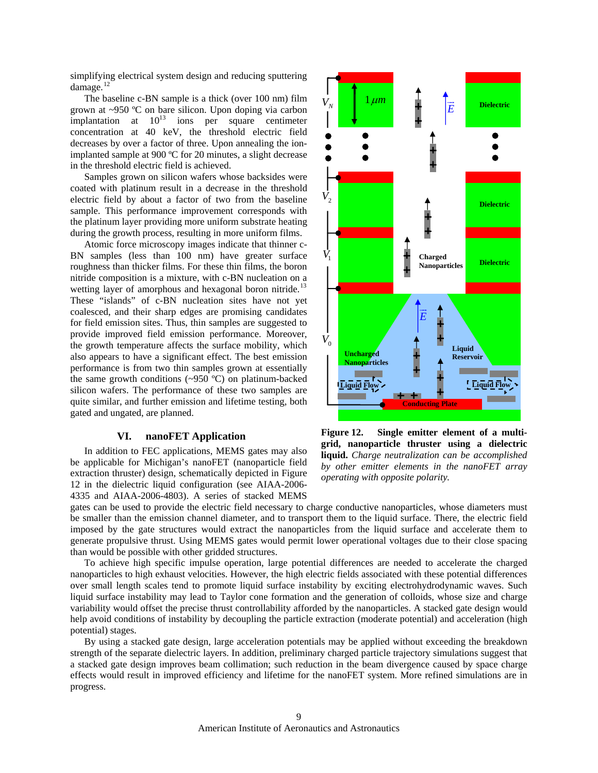simplifying electrical system design and reducing sputtering damage.<sup>[12](#page-10-1)</sup>

 The baseline c-BN sample is a thick (over 100 nm) film grown at ~950 ºC on bare silicon. Upon doping via carbon implantation at  $10^{13}$  ions per square centimeter concentration at 40 keV, the threshold electric field decreases by over a factor of three. Upon annealing the ionimplanted sample at 900 ºC for 20 minutes, a slight decrease in the threshold electric field is achieved.

 Samples grown on silicon wafers whose backsides were coated with platinum result in a decrease in the threshold electric field by about a factor of two from the baseline sample. This performance improvement corresponds with the platinum layer providing more uniform substrate heating during the growth process, resulting in more uniform films.

 Atomic force microscopy images indicate that thinner c-BN samples (less than 100 nm) have greater surface roughness than thicker films. For these thin films, the boron nitride composition is a mixture, with c-BN nucleation on a wetting layer of amorphous and hexagonal boron nitride.<sup>[13](#page-10-1)</sup> These "islands" of c-BN nucleation sites have not yet coalesced, and their sharp edges are promising candidates for field emission sites. Thus, thin samples are suggested to provide improved field emission performance. Moreover, the growth temperature affects the surface mobility, which also appears to have a significant effect. The best emission performance is from two thin samples grown at essentially the same growth conditions (~950 ºC) on platinum-backed silicon wafers. The performance of these two samples are quite similar, and further emission and lifetime testing, both gated and ungated, are planned.

## **VI. nanoFET Application**

 In addition to FEC applications, MEMS gates may also be applicable for Michigan's nanoFET (nanoparticle field extraction thruster) design, schematically depicted in Figure 12 in the dielectric liquid configuration (see AIAA-2006- 4335 and AIAA-2006-4803). A series of stacked MEMS



**Figure 12. Single emitter element of a multigrid, nanoparticle thruster using a dielectric liquid.** *Charge neutralization can be accomplished by other emitter elements in the nanoFET array operating with opposite polarity.*

gates can be used to provide the electric field necessary to charge conductive nanoparticles, whose diameters must be smaller than the emission channel diameter, and to transport them to the liquid surface. There, the electric field imposed by the gate structures would extract the nanoparticles from the liquid surface and accelerate them to generate propulsive thrust. Using MEMS gates would permit lower operational voltages due to their close spacing than would be possible with other gridded structures.

 To achieve high specific impulse operation, large potential differences are needed to accelerate the charged nanoparticles to high exhaust velocities. However, the high electric fields associated with these potential differences over small length scales tend to promote liquid surface instability by exciting electrohydrodynamic waves. Such liquid surface instability may lead to Taylor cone formation and the generation of colloids, whose size and charge variability would offset the precise thrust controllability afforded by the nanoparticles. A stacked gate design would help avoid conditions of instability by decoupling the particle extraction (moderate potential) and acceleration (high potential) stages.

 By using a stacked gate design, large acceleration potentials may be applied without exceeding the breakdown strength of the separate dielectric layers. In addition, preliminary charged particle trajectory simulations suggest that a stacked gate design improves beam collimation; such reduction in the beam divergence caused by space charge effects would result in improved efficiency and lifetime for the nanoFET system. More refined simulations are in progress.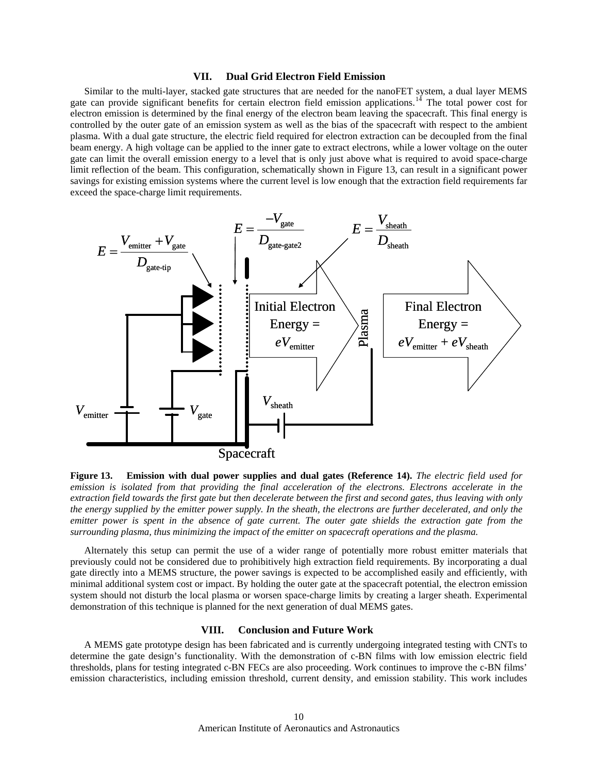## **VII. Dual Grid Electron Field Emission**

Similar to the multi-layer, stacked gate structures that are needed for the nanoFET system, a dual layer MEMS gate can provide significant benefits for certain electron field emission applications.<sup>[14](#page-10-1)</sup> The total power cost for electron emission is determined by the final energy of the electron beam leaving the spacecraft. This final energy is controlled by the outer gate of an emission system as well as the bias of the spacecraft with respect to the ambient plasma. With a dual gate structure, the electric field required for electron extraction can be decoupled from the final beam energy. A high voltage can be applied to the inner gate to extract electrons, while a lower voltage on the outer gate can limit the overall emission energy to a level that is only just above what is required to avoid space-charge limit reflection of the beam. This configuration, schematically shown in Figure 13, can result in a significant power savings for existing emission systems where the current level is low enough that the extraction field requirements far exceed the space-charge limit requirements.



**Figure 13. Emission with dual power supplies and dual gates (Reference 14).** *The electric field used for emission is isolated from that providing the final acceleration of the electrons. Electrons accelerate in the extraction field towards the first gate but then decelerate between the first and second gates, thus leaving with only the energy supplied by the emitter power supply. In the sheath, the electrons are further decelerated, and only the emitter power is spent in the absence of gate current. The outer gate shields the extraction gate from the surrounding plasma, thus minimizing the impact of the emitter on spacecraft operations and the plasma.*

 Alternately this setup can permit the use of a wider range of potentially more robust emitter materials that previously could not be considered due to prohibitively high extraction field requirements. By incorporating a dual gate directly into a MEMS structure, the power savings is expected to be accomplished easily and efficiently, with minimal additional system cost or impact. By holding the outer gate at the spacecraft potential, the electron emission system should not disturb the local plasma or worsen space-charge limits by creating a larger sheath. Experimental

## **VIII. Conclusion and Future Work**

A MEMS gate prototype design has been fabricated and is currently undergoing integrated testing with CNTs to determine the gate design's functionality. With the demonstration of c-BN films with low emission electric field thresholds, plans for testing integrated c-BN FECs are also proceeding. Work continues to improve the c-BN films' emission characteristics, including emission threshold, current density, and emission stability. This work includes